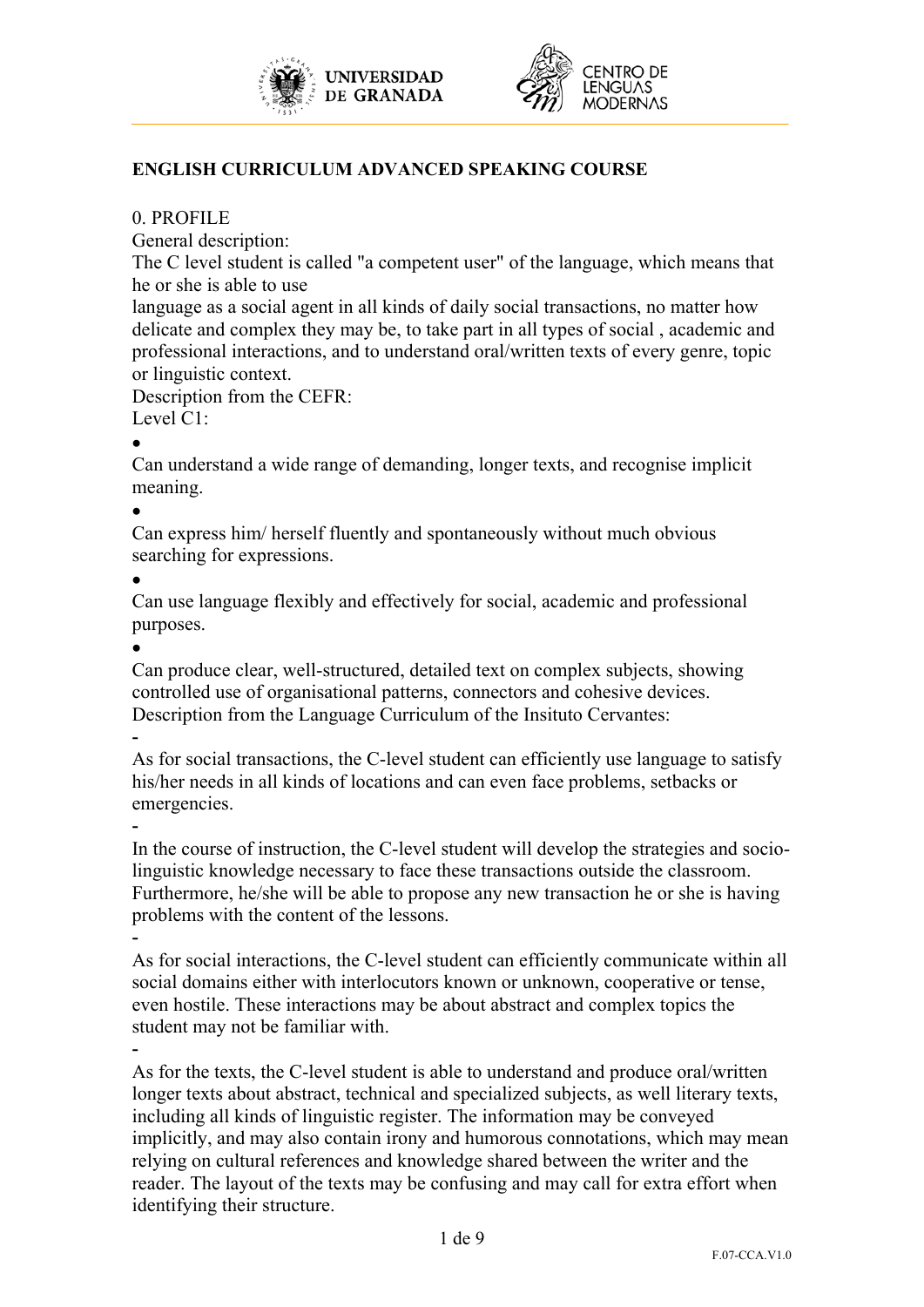



## **ENGLISH CURRICULUM ADVANCED SPEAKING COURSE**

### 0. PROFILE

General description:

The C level student is called "a competent user" of the language, which means that he or she is able to use

language as a social agent in all kinds of daily social transactions, no matter how delicate and complex they may be, to take part in all types of social , academic and professional interactions, and to understand oral/written texts of every genre, topic or linguistic context.

Description from the CEFR:

Level C1:

 $\bullet$ 

Can understand a wide range of demanding, longer texts, and recognise implicit meaning.

 $\bullet$ 

Can express him/ herself fluently and spontaneously without much obvious searching for expressions.

 $\bullet$ 

Can use language flexibly and effectively for social, academic and professional purposes.

 $\bullet$ 

Can produce clear, well-structured, detailed text on complex subjects, showing controlled use of organisational patterns, connectors and cohesive devices. Description from the Language Curriculum of the Insituto Cervantes:

-

As for social transactions, the C-level student can efficiently use language to satisfy his/her needs in all kinds of locations and can even face problems, setbacks or emergencies.

-

In the course of instruction, the C-level student will develop the strategies and sociolinguistic knowledge necessary to face these transactions outside the classroom. Furthermore, he/she will be able to propose any new transaction he or she is having problems with the content of the lessons.

- As for social interactions, the C-level student can efficiently communicate within all social domains either with interlocutors known or unknown, cooperative or tense, even hostile. These interactions may be about abstract and complex topics the student may not be familiar with.

- As for the texts, the C-level student is able to understand and produce oral/written longer texts about abstract, technical and specialized subjects, as well literary texts, including all kinds of linguistic register. The information may be conveyed implicitly, and may also contain irony and humorous connotations, which may mean relying on cultural references and knowledge shared between the writer and the reader. The layout of the texts may be confusing and may call for extra effort when identifying their structure.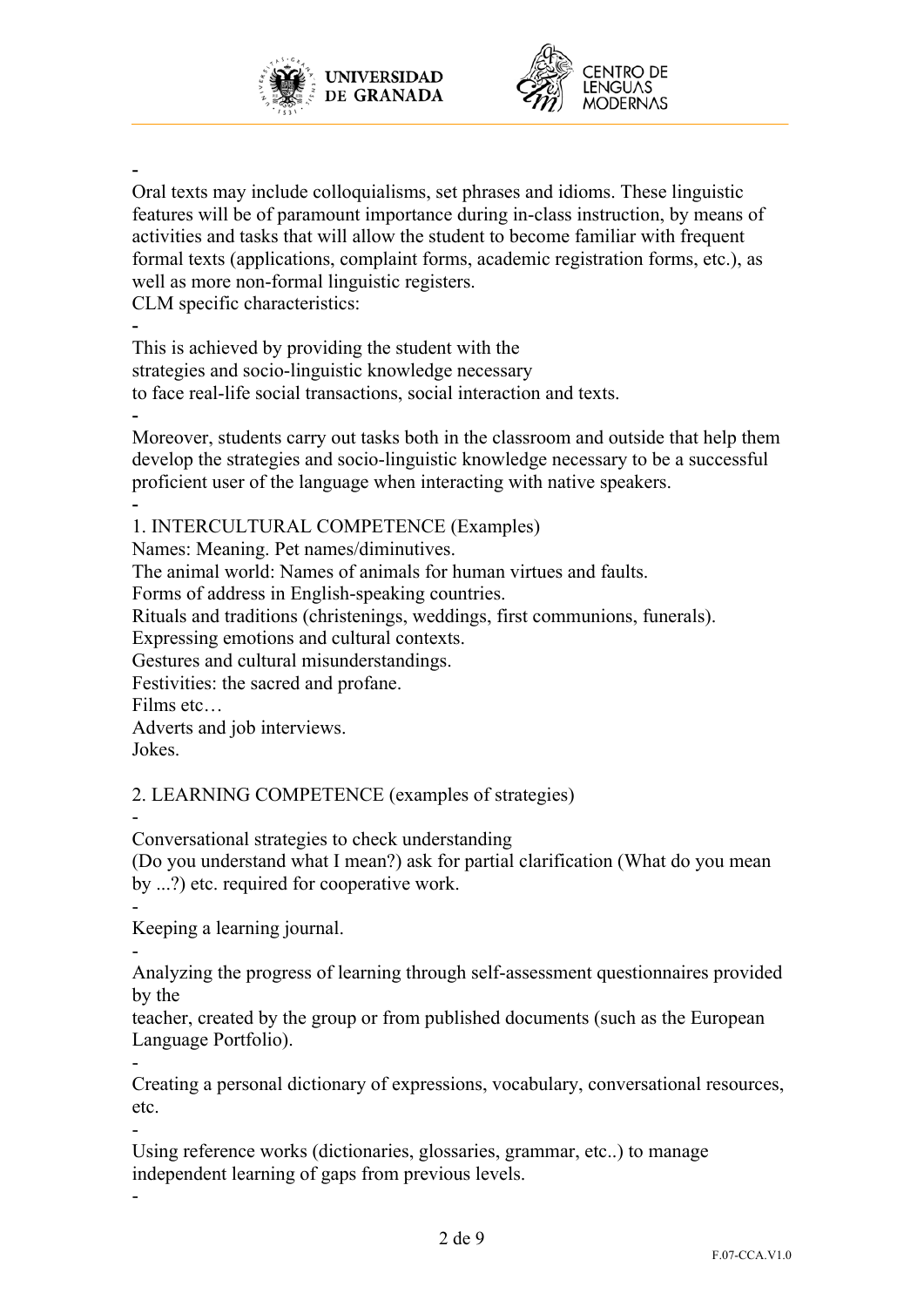



-

Oral texts may include colloquialisms, set phrases and idioms. These linguistic features will be of paramount importance during in-class instruction, by means of activities and tasks that will allow the student to become familiar with frequent formal texts (applications, complaint forms, academic registration forms, etc.), as well as more non-formal linguistic registers.

CLM specific characteristics:

- This is achieved by providing the student with the strategies and socio-linguistic knowledge necessary to face real-life social transactions, social interaction and texts.

- Moreover, students carry out tasks both in the classroom and outside that help them develop the strategies and socio-linguistic knowledge necessary to be a successful proficient user of the language when interacting with native speakers. -

1. INTERCULTURAL COMPETENCE (Examples)

Names: Meaning. Pet names/diminutives.

The animal world: Names of animals for human virtues and faults.

Forms of address in English-speaking countries.

Rituals and traditions (christenings, weddings, first communions, funerals).

Expressing emotions and cultural contexts.

Gestures and cultural misunderstandings.

Festivities: the sacred and profane.

Films etc…

Adverts and job interviews.

Jokes.

2. LEARNING COMPETENCE (examples of strategies)

- Conversational strategies to check understanding

(Do you understand what I mean?) ask for partial clarification (What do you mean by ...?) etc. required for cooperative work.

- Keeping a learning journal.

- Analyzing the progress of learning through self-assessment questionnaires provided by the

teacher, created by the group or from published documents (such as the European Language Portfolio).

- Creating a personal dictionary of expressions, vocabulary, conversational resources, etc.

- Using reference works (dictionaries, glossaries, grammar, etc..) to manage independent learning of gaps from previous levels.

-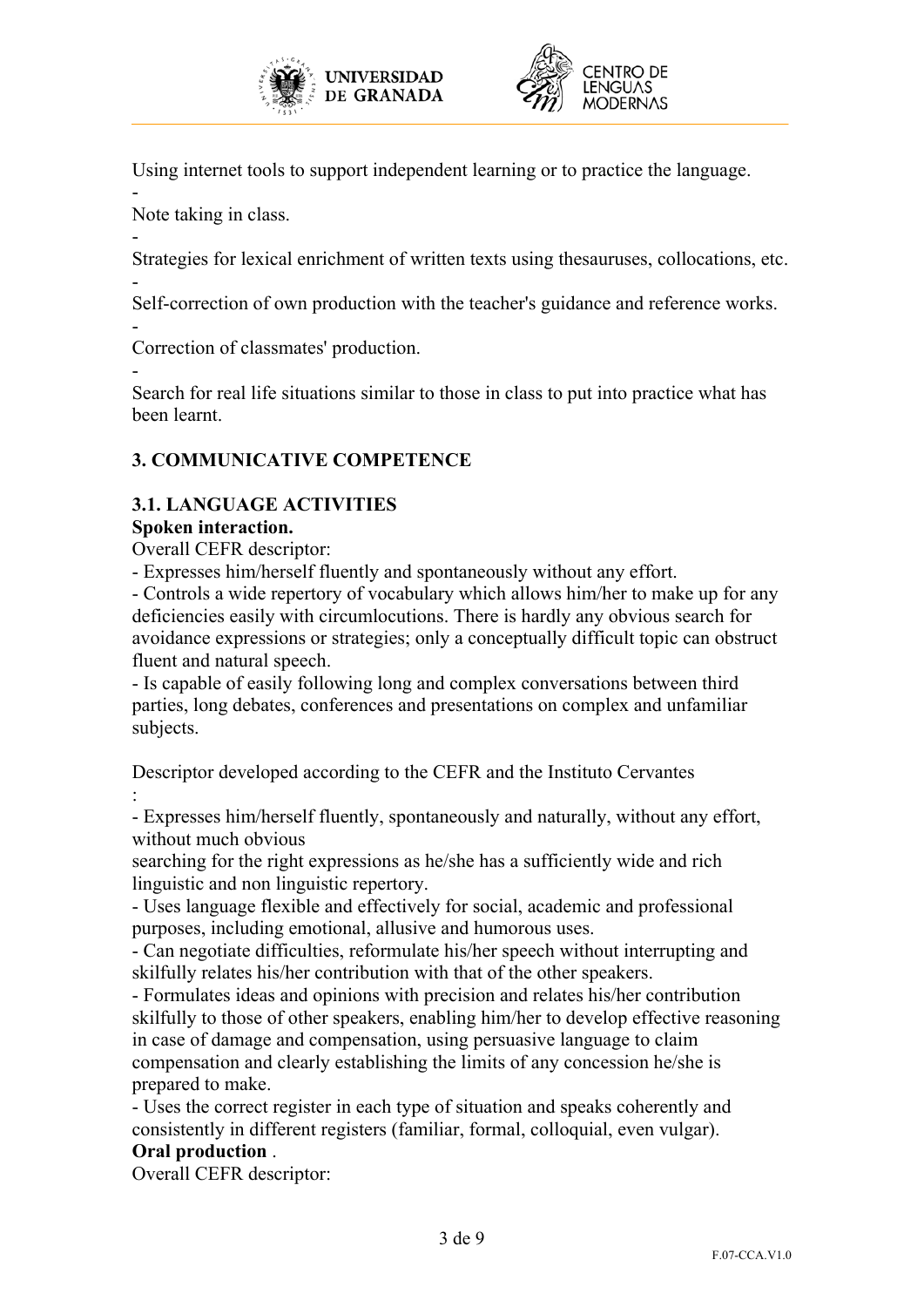



Using internet tools to support independent learning or to practice the language.

Note taking in class.

-

- Strategies for lexical enrichment of written texts using thesauruses, collocations, etc.

- Self-correction of own production with the teacher's guidance and reference works.

- Correction of classmates' production.

- Search for real life situations similar to those in class to put into practice what has been learnt.

# **3. COMMUNICATIVE COMPETENCE**

# **3.1. LANGUAGE ACTIVITIES**

## **Spoken interaction.**

Overall CEFR descriptor:

- Expresses him/herself fluently and spontaneously without any effort.

- Controls a wide repertory of vocabulary which allows him/her to make up for any deficiencies easily with circumlocutions. There is hardly any obvious search for avoidance expressions or strategies; only a conceptually difficult topic can obstruct fluent and natural speech.

- Is capable of easily following long and complex conversations between third parties, long debates, conferences and presentations on complex and unfamiliar subjects.

Descriptor developed according to the CEFR and the Instituto Cervantes :

- Expresses him/herself fluently, spontaneously and naturally, without any effort, without much obvious

searching for the right expressions as he/she has a sufficiently wide and rich linguistic and non linguistic repertory.

- Uses language flexible and effectively for social, academic and professional purposes, including emotional, allusive and humorous uses.

- Can negotiate difficulties, reformulate his/her speech without interrupting and skilfully relates his/her contribution with that of the other speakers.

- Formulates ideas and opinions with precision and relates his/her contribution skilfully to those of other speakers, enabling him/her to develop effective reasoning in case of damage and compensation, using persuasive language to claim compensation and clearly establishing the limits of any concession he/she is prepared to make.

- Uses the correct register in each type of situation and speaks coherently and consistently in different registers (familiar, formal, colloquial, even vulgar). **Oral production** .

Overall CEFR descriptor: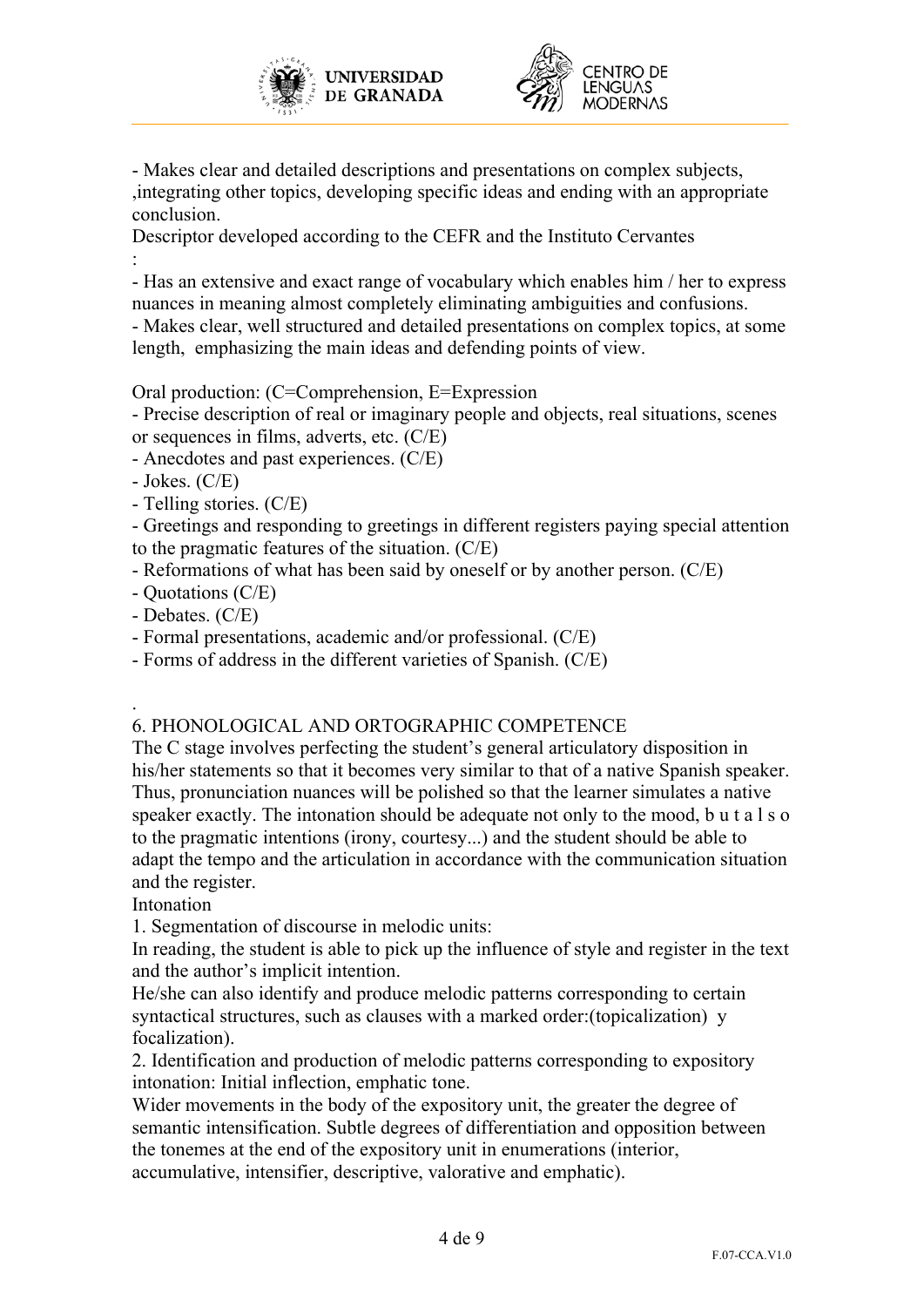



- Makes clear and detailed descriptions and presentations on complex subjects, ,integrating other topics, developing specific ideas and ending with an appropriate conclusion.

Descriptor developed according to the CEFR and the Instituto Cervantes :

- Has an extensive and exact range of vocabulary which enables him / her to express nuances in meaning almost completely eliminating ambiguities and confusions. - Makes clear, well structured and detailed presentations on complex topics, at some length, emphasizing the main ideas and defending points of view.

Oral production: (C=Comprehension, E=Expression

- Precise description of real or imaginary people and objects, real situations, scenes or sequences in films, adverts, etc. (C/E)

- Anecdotes and past experiences. (C/E)
- Jokes. (C/E)
- Telling stories. (C/E)

- Greetings and responding to greetings in different registers paying special attention to the pragmatic features of the situation. (C/E)

- Reformations of what has been said by oneself or by another person. (C/E)
- Quotations (C/E)
- Debates. (C/E)
- Formal presentations, academic and/or professional. (C/E)

- Forms of address in the different varieties of Spanish. (C/E)

### . 6. PHONOLOGICAL AND ORTOGRAPHIC COMPETENCE

The C stage involves perfecting the student's general articulatory disposition in his/her statements so that it becomes very similar to that of a native Spanish speaker. Thus, pronunciation nuances will be polished so that the learner simulates a native speaker exactly. The intonation should be adequate not only to the mood, b u t a l s o to the pragmatic intentions (irony, courtesy...) and the student should be able to adapt the tempo and the articulation in accordance with the communication situation and the register.

**Intonation** 

1. Segmentation of discourse in melodic units:

In reading, the student is able to pick up the influence of style and register in the text and the author's implicit intention.

He/she can also identify and produce melodic patterns corresponding to certain syntactical structures, such as clauses with a marked order:(topicalization) y focalization).

2. Identification and production of melodic patterns corresponding to expository intonation: Initial inflection, emphatic tone.

Wider movements in the body of the expository unit, the greater the degree of semantic intensification. Subtle degrees of differentiation and opposition between the tonemes at the end of the expository unit in enumerations (interior, accumulative, intensifier, descriptive, valorative and emphatic).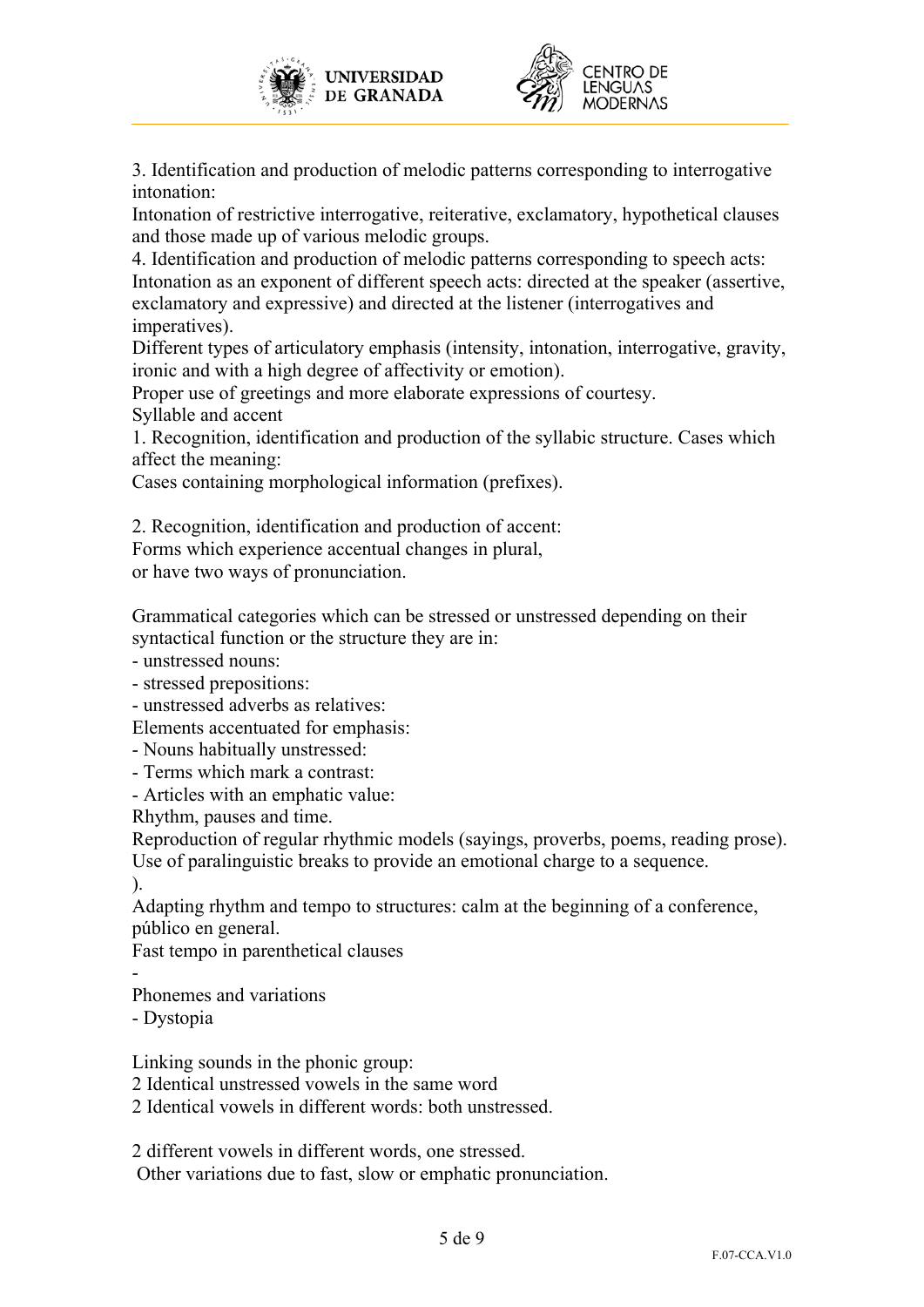



3. Identification and production of melodic patterns corresponding to interrogative intonation:

Intonation of restrictive interrogative, reiterative, exclamatory, hypothetical clauses and those made up of various melodic groups.

4. Identification and production of melodic patterns corresponding to speech acts: Intonation as an exponent of different speech acts: directed at the speaker (assertive, exclamatory and expressive) and directed at the listener (interrogatives and imperatives).

Different types of articulatory emphasis (intensity, intonation, interrogative, gravity, ironic and with a high degree of affectivity or emotion).

Proper use of greetings and more elaborate expressions of courtesy. Syllable and accent

1. Recognition, identification and production of the syllabic structure. Cases which affect the meaning:

Cases containing morphological information (prefixes).

2. Recognition, identification and production of accent: Forms which experience accentual changes in plural,

or have two ways of pronunciation.

Grammatical categories which can be stressed or unstressed depending on their syntactical function or the structure they are in:

- unstressed nouns:

- stressed prepositions:

- unstressed adverbs as relatives:

Elements accentuated for emphasis:

- Nouns habitually unstressed:

- Terms which mark a contrast:

- Articles with an emphatic value:

Rhythm, pauses and time.

Reproduction of regular rhythmic models (sayings, proverbs, poems, reading prose). Use of paralinguistic breaks to provide an emotional charge to a sequence.

).

Adapting rhythm and tempo to structures: calm at the beginning of a conference, público en general.

Fast tempo in parenthetical clauses

- Phonemes and variations

- Dystopia

Linking sounds in the phonic group:

2 Identical unstressed vowels in the same word

2 Identical vowels in different words: both unstressed.

2 different vowels in different words, one stressed.

Other variations due to fast, slow or emphatic pronunciation.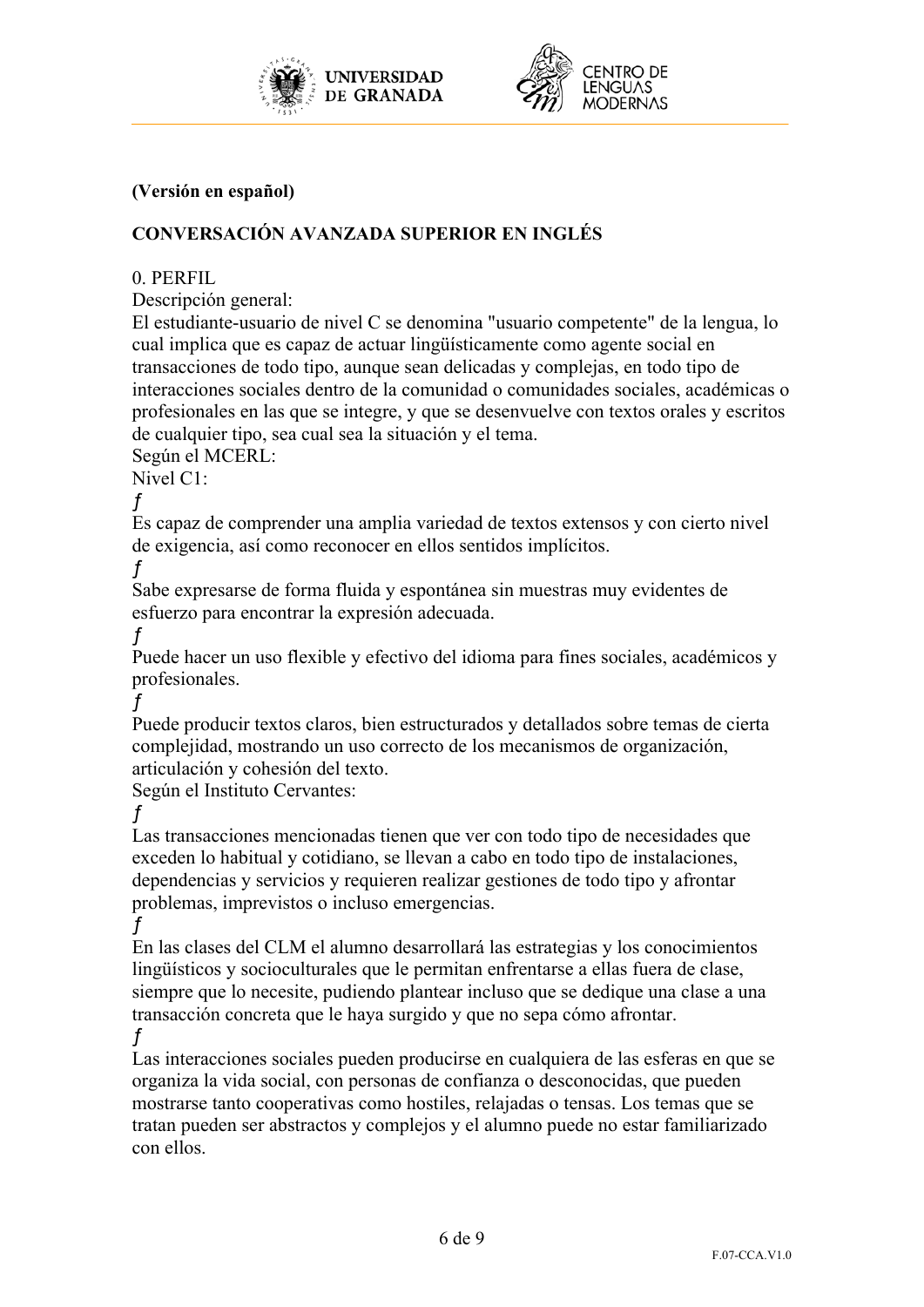



## **(Versión en español)**

# **CONVERSACIÓN AVANZADA SUPERIOR EN INGLÉS**

### 0. PERFIL

Descripción general:

El estudiante-usuario de nivel C se denomina "usuario competente" de la lengua, lo cual implica que es capaz de actuar lingüísticamente como agente social en transacciones de todo tipo, aunque sean delicadas y complejas, en todo tipo de interacciones sociales dentro de la comunidad o comunidades sociales, académicas o profesionales en las que se integre, y que se desenvuelve con textos orales y escritos de cualquier tipo, sea cual sea la situación y el tema.

Según el MCERL:

Nivel C1:

ƒ

Es capaz de comprender una amplia variedad de textos extensos y con cierto nivel de exigencia, así como reconocer en ellos sentidos implícitos.

ƒ

Sabe expresarse de forma fluida y espontánea sin muestras muy evidentes de esfuerzo para encontrar la expresión adecuada.

ƒ Puede hacer un uso flexible y efectivo del idioma para fines sociales, académicos y profesionales.

ƒ

Puede producir textos claros, bien estructurados y detallados sobre temas de cierta complejidad, mostrando un uso correcto de los mecanismos de organización, articulación y cohesión del texto.

Según el Instituto Cervantes:

ƒ

Las transacciones mencionadas tienen que ver con todo tipo de necesidades que exceden lo habitual y cotidiano, se llevan a cabo en todo tipo de instalaciones, dependencias y servicios y requieren realizar gestiones de todo tipo y afrontar problemas, imprevistos o incluso emergencias.

ƒ

En las clases del CLM el alumno desarrollará las estrategias y los conocimientos lingüísticos y socioculturales que le permitan enfrentarse a ellas fuera de clase, siempre que lo necesite, pudiendo plantear incluso que se dedique una clase a una transacción concreta que le haya surgido y que no sepa cómo afrontar. ƒ

Las interacciones sociales pueden producirse en cualquiera de las esferas en que se organiza la vida social, con personas de confianza o desconocidas, que pueden mostrarse tanto cooperativas como hostiles, relajadas o tensas. Los temas que se tratan pueden ser abstractos y complejos y el alumno puede no estar familiarizado con ellos.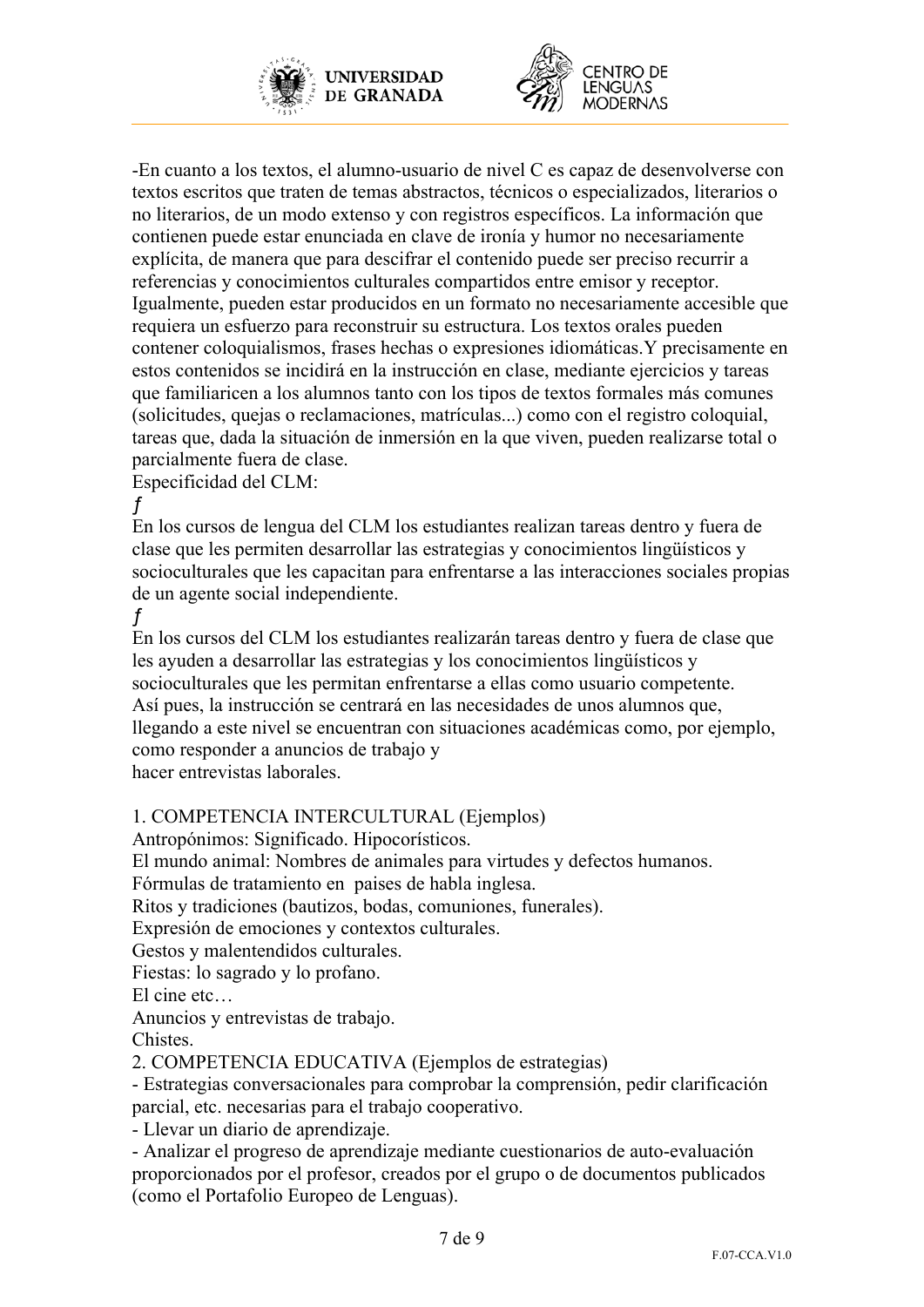



-En cuanto a los textos, el alumno-usuario de nivel C es capaz de desenvolverse con textos escritos que traten de temas abstractos, técnicos o especializados, literarios o no literarios, de un modo extenso y con registros específicos. La información que contienen puede estar enunciada en clave de ironía y humor no necesariamente explícita, de manera que para descifrar el contenido puede ser preciso recurrir a referencias y conocimientos culturales compartidos entre emisor y receptor. Igualmente, pueden estar producidos en un formato no necesariamente accesible que requiera un esfuerzo para reconstruir su estructura. Los textos orales pueden contener coloquialismos, frases hechas o expresiones idiomáticas.Y precisamente en estos contenidos se incidirá en la instrucción en clase, mediante ejercicios y tareas que familiaricen a los alumnos tanto con los tipos de textos formales más comunes (solicitudes, quejas o reclamaciones, matrículas...) como con el registro coloquial, tareas que, dada la situación de inmersión en la que viven, pueden realizarse total o parcialmente fuera de clase.

Especificidad del CLM:

ƒ En los cursos de lengua del CLM los estudiantes realizan tareas dentro y fuera de clase que les permiten desarrollar las estrategias y conocimientos lingüísticos y socioculturales que les capacitan para enfrentarse a las interacciones sociales propias de un agente social independiente.

ƒ

En los cursos del CLM los estudiantes realizarán tareas dentro y fuera de clase que les ayuden a desarrollar las estrategias y los conocimientos lingüísticos y socioculturales que les permitan enfrentarse a ellas como usuario competente. Así pues, la instrucción se centrará en las necesidades de unos alumnos que, llegando a este nivel se encuentran con situaciones académicas como, por ejemplo, como responder a anuncios de trabajo y hacer entrevistas laborales.

# 1. COMPETENCIA INTERCULTURAL (Ejemplos)

Antropónimos: Significado. Hipocorísticos.

El mundo animal: Nombres de animales para virtudes y defectos humanos.

Fórmulas de tratamiento en paises de habla inglesa.

Ritos y tradiciones (bautizos, bodas, comuniones, funerales).

Expresión de emociones y contextos culturales.

Gestos y malentendidos culturales.

Fiestas: lo sagrado y lo profano.

El cine etc…

Anuncios y entrevistas de trabajo.

Chistes.

2. COMPETENCIA EDUCATIVA (Ejemplos de estrategias)

- Estrategias conversacionales para comprobar la comprensión, pedir clarificación parcial, etc. necesarias para el trabajo cooperativo.

- Llevar un diario de aprendizaje.

- Analizar el progreso de aprendizaje mediante cuestionarios de auto-evaluación proporcionados por el profesor, creados por el grupo o de documentos publicados (como el Portafolio Europeo de Lenguas).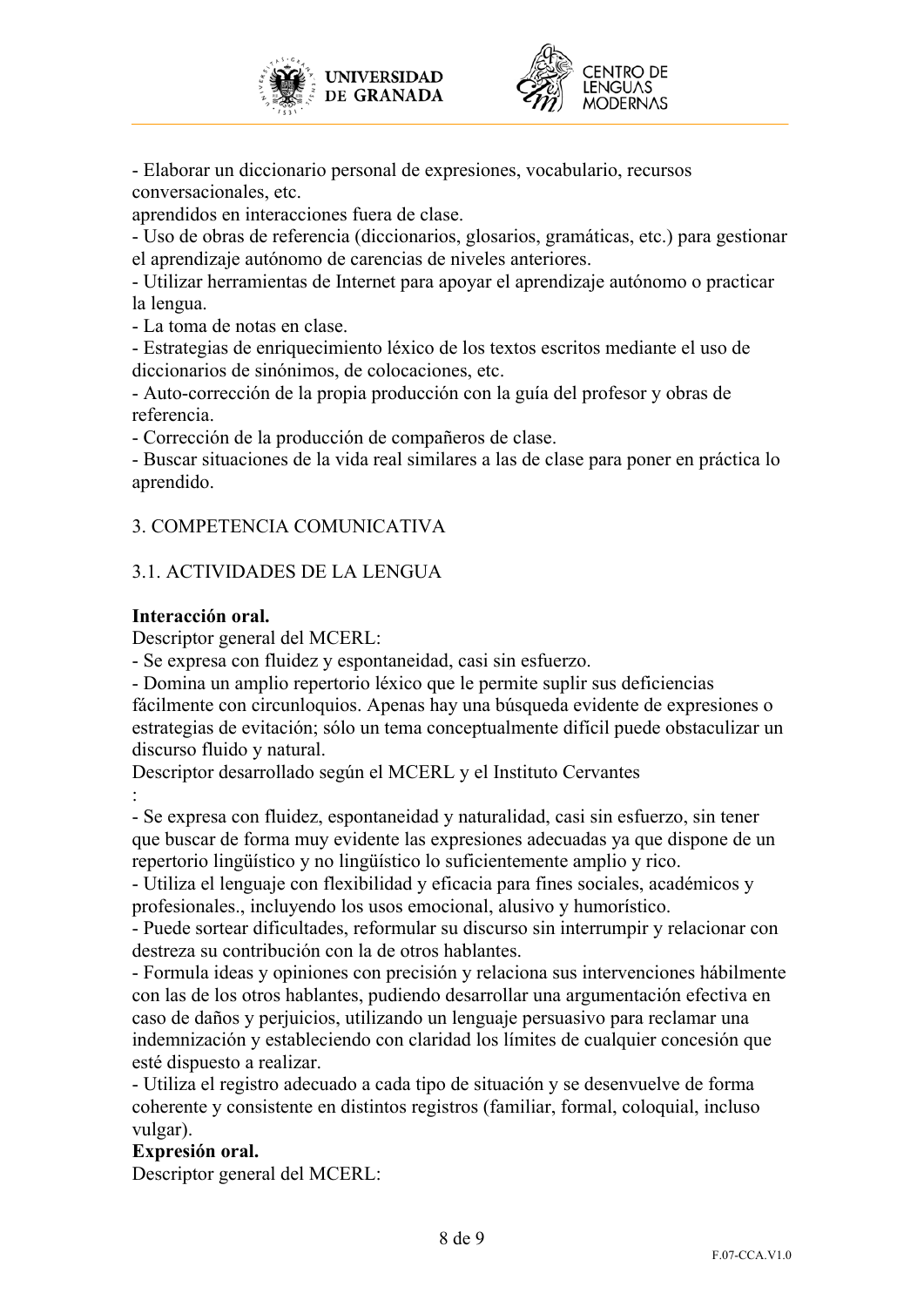



- Elaborar un diccionario personal de expresiones, vocabulario, recursos conversacionales, etc.

aprendidos en interacciones fuera de clase.

- Uso de obras de referencia (diccionarios, glosarios, gramáticas, etc.) para gestionar el aprendizaje autónomo de carencias de niveles anteriores.

- Utilizar herramientas de Internet para apoyar el aprendizaje autónomo o practicar la lengua.

- La toma de notas en clase.

- Estrategias de enriquecimiento léxico de los textos escritos mediante el uso de diccionarios de sinónimos, de colocaciones, etc.

- Auto-corrección de la propia producción con la guía del profesor y obras de referencia.

- Corrección de la producción de compañeros de clase.

- Buscar situaciones de la vida real similares a las de clase para poner en práctica lo aprendido.

## 3. COMPETENCIA COMUNICATIVA

## 3.1. ACTIVIDADES DE LA LENGUA

### **Interacción oral.**

Descriptor general del MCERL:

- Se expresa con fluidez y espontaneidad, casi sin esfuerzo.

- Domina un amplio repertorio léxico que le permite suplir sus deficiencias fácilmente con circunloquios. Apenas hay una búsqueda evidente de expresiones o estrategias de evitación; sólo un tema conceptualmente difícil puede obstaculizar un discurso fluido y natural.

Descriptor desarrollado según el MCERL y el Instituto Cervantes :

- Se expresa con fluidez, espontaneidad y naturalidad, casi sin esfuerzo, sin tener que buscar de forma muy evidente las expresiones adecuadas ya que dispone de un repertorio lingüístico y no lingüístico lo suficientemente amplio y rico.

- Utiliza el lenguaje con flexibilidad y eficacia para fines sociales, académicos y profesionales., incluyendo los usos emocional, alusivo y humorístico.

- Puede sortear dificultades, reformular su discurso sin interrumpir y relacionar con destreza su contribución con la de otros hablantes.

- Formula ideas y opiniones con precisión y relaciona sus intervenciones hábilmente con las de los otros hablantes, pudiendo desarrollar una argumentación efectiva en caso de daños y perjuicios, utilizando un lenguaje persuasivo para reclamar una indemnización y estableciendo con claridad los límites de cualquier concesión que esté dispuesto a realizar.

- Utiliza el registro adecuado a cada tipo de situación y se desenvuelve de forma coherente y consistente en distintos registros (familiar, formal, coloquial, incluso vulgar).

## **Expresión oral.**

Descriptor general del MCERL: